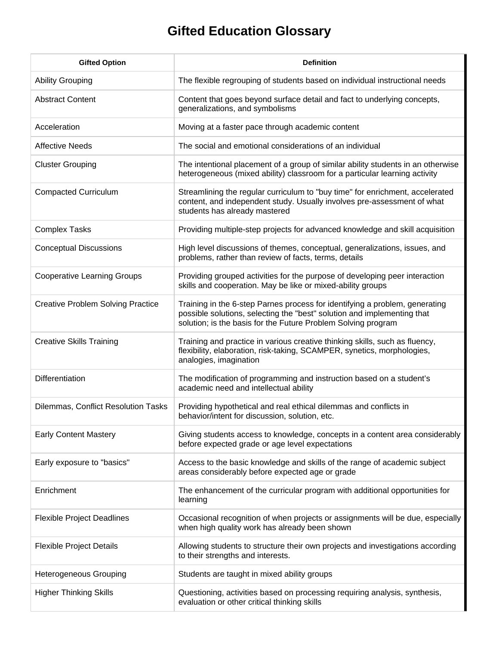## **Gifted Education Glossary**

| <b>Gifted Option</b>                     | <b>Definition</b>                                                                                                                                                                                                       |
|------------------------------------------|-------------------------------------------------------------------------------------------------------------------------------------------------------------------------------------------------------------------------|
| <b>Ability Grouping</b>                  | The flexible regrouping of students based on individual instructional needs                                                                                                                                             |
| <b>Abstract Content</b>                  | Content that goes beyond surface detail and fact to underlying concepts,<br>generalizations, and symbolisms                                                                                                             |
| Acceleration                             | Moving at a faster pace through academic content                                                                                                                                                                        |
| <b>Affective Needs</b>                   | The social and emotional considerations of an individual                                                                                                                                                                |
| <b>Cluster Grouping</b>                  | The intentional placement of a group of similar ability students in an otherwise<br>heterogeneous (mixed ability) classroom for a particular learning activity                                                          |
| <b>Compacted Curriculum</b>              | Streamlining the regular curriculum to "buy time" for enrichment, accelerated<br>content, and independent study. Usually involves pre-assessment of what<br>students has already mastered                               |
| <b>Complex Tasks</b>                     | Providing multiple-step projects for advanced knowledge and skill acquisition                                                                                                                                           |
| <b>Conceptual Discussions</b>            | High level discussions of themes, conceptual, generalizations, issues, and<br>problems, rather than review of facts, terms, details                                                                                     |
| <b>Cooperative Learning Groups</b>       | Providing grouped activities for the purpose of developing peer interaction<br>skills and cooperation. May be like or mixed-ability groups                                                                              |
| <b>Creative Problem Solving Practice</b> | Training in the 6-step Parnes process for identifying a problem, generating<br>possible solutions, selecting the "best" solution and implementing that<br>solution; is the basis for the Future Problem Solving program |
| <b>Creative Skills Training</b>          | Training and practice in various creative thinking skills, such as fluency,<br>flexibility, elaboration, risk-taking, SCAMPER, synetics, morphologies,<br>analogies, imagination                                        |
| Differentiation                          | The modification of programming and instruction based on a student's<br>academic need and intellectual ability                                                                                                          |
| Dilemmas, Conflict Resolution Tasks      | Providing hypothetical and real ethical dilemmas and conflicts in<br>behavior/intent for discussion, solution, etc.                                                                                                     |
| <b>Early Content Mastery</b>             | Giving students access to knowledge, concepts in a content area considerably<br>before expected grade or age level expectations                                                                                         |
| Early exposure to "basics"               | Access to the basic knowledge and skills of the range of academic subject<br>areas considerably before expected age or grade                                                                                            |
| Enrichment                               | The enhancement of the curricular program with additional opportunities for<br>learning                                                                                                                                 |
| <b>Flexible Project Deadlines</b>        | Occasional recognition of when projects or assignments will be due, especially<br>when high quality work has already been shown                                                                                         |
| <b>Flexible Project Details</b>          | Allowing students to structure their own projects and investigations according<br>to their strengths and interests.                                                                                                     |
| <b>Heterogeneous Grouping</b>            | Students are taught in mixed ability groups                                                                                                                                                                             |
| <b>Higher Thinking Skills</b>            | Questioning, activities based on processing requiring analysis, synthesis,<br>evaluation or other critical thinking skills                                                                                              |